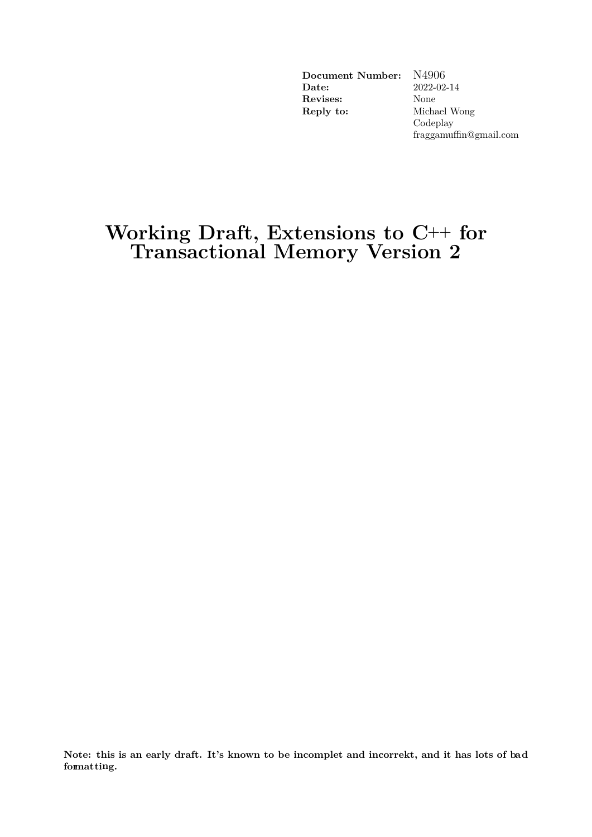**Document Number:** N4906 **Date:** 2022-02-14 **Revises:** None **Reply to:** Michael Wong

Codeplay fraggamuffin@gmail.com

## **Working Draft, Extensions to C++ for Transactional Memory Version 2**

**Note: this is an early draft. It's known to be incomplet and incorrekt, and it has lots of bad formatting.**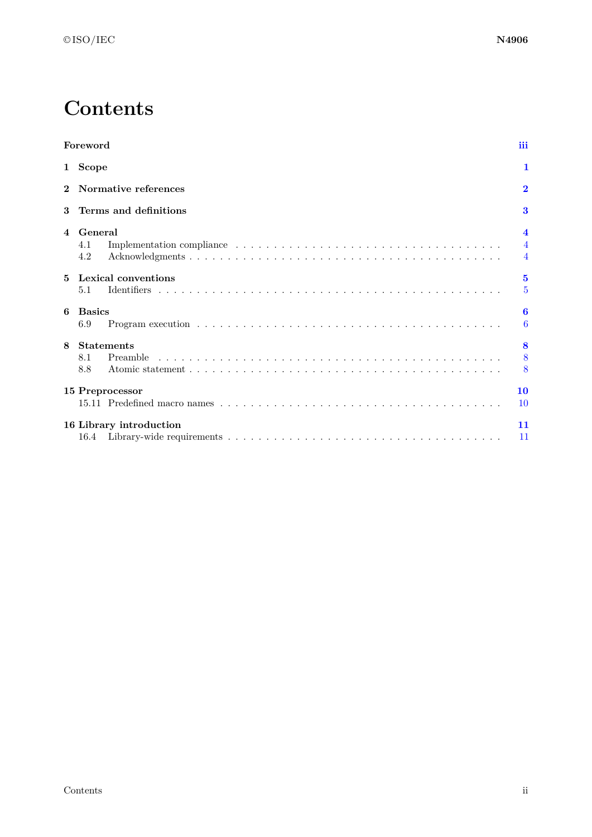# **Contents**

|                | Foreword                                                                                                                               | iii                                                         |
|----------------|----------------------------------------------------------------------------------------------------------------------------------------|-------------------------------------------------------------|
|                | 1 Scope                                                                                                                                | 1                                                           |
| $\mathbf{2}$   | Normative references                                                                                                                   | $\mathbf{2}$                                                |
| 3              | Terms and definitions                                                                                                                  | 3                                                           |
| $\overline{4}$ | General<br>4.1<br>4.2                                                                                                                  | $\overline{\mathbf{4}}$<br>$\overline{4}$<br>$\overline{4}$ |
| $5^{\circ}$    | Lexical conventions<br>5.1                                                                                                             | $\overline{\mathbf{5}}$<br>5                                |
| 6              | <b>Basics</b><br>Program execution $\ldots \ldots \ldots \ldots \ldots \ldots \ldots \ldots \ldots \ldots \ldots \ldots \ldots$<br>6.9 | 6<br>6                                                      |
| 8              | <b>Statements</b><br>8.1<br>Preamble<br>8.8                                                                                            | 8<br>8<br>8                                                 |
|                | 15 Preprocessor                                                                                                                        | 10<br>10                                                    |
|                | 16 Library introduction                                                                                                                | 11<br>11                                                    |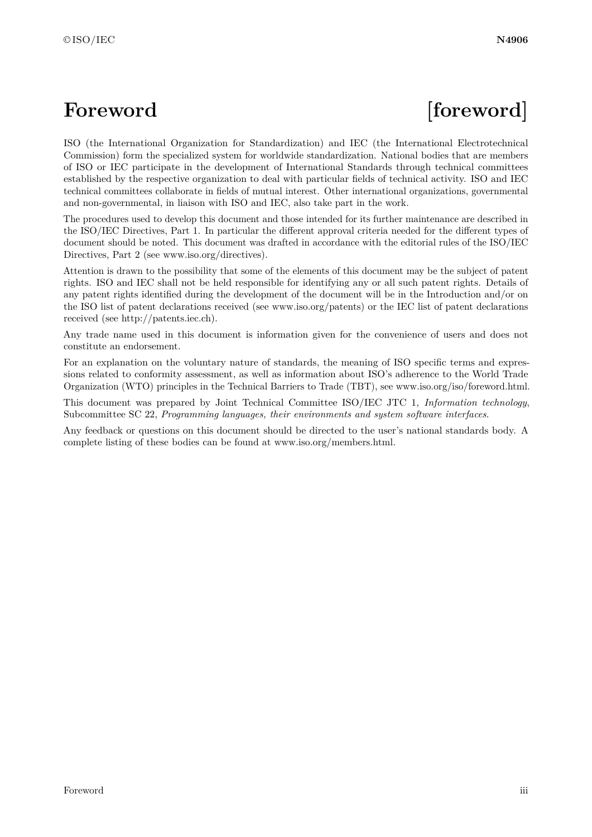# <span id="page-2-0"></span>Foreword **[foreword]**

ISO (the International Organization for Standardization) and IEC (the International Electrotechnical Commission) form the specialized system for worldwide standardization. National bodies that are members of ISO or IEC participate in the development of International Standards through technical committees established by the respective organization to deal with particular fields of technical activity. ISO and IEC technical committees collaborate in fields of mutual interest. Other international organizations, governmental and non-governmental, in liaison with ISO and IEC, also take part in the work.

The procedures used to develop this document and those intended for its further maintenance are described in the ISO/IEC Directives, Part 1. In particular the different approval criteria needed for the different types of document should be noted. This document was drafted in accordance with the editorial rules of the ISO/IEC Directives, Part 2 (see www.iso.org/directives).

Attention is drawn to the possibility that some of the elements of this document may be the subject of patent rights. ISO and IEC shall not be held responsible for identifying any or all such patent rights. Details of any patent rights identified during the development of the document will be in the Introduction and/or on the ISO list of patent declarations received (see www.iso.org/patents) or the IEC list of patent declarations received (see http://patents.iec.ch).

Any trade name used in this document is information given for the convenience of users and does not constitute an endorsement.

For an explanation on the voluntary nature of standards, the meaning of ISO specific terms and expressions related to conformity assessment, as well as information about ISO's adherence to the World Trade Organization (WTO) principles in the Technical Barriers to Trade (TBT), see www.iso.org/iso/foreword.html.

This document was prepared by Joint Technical Committee ISO/IEC JTC 1, *Information technology*, Subcommittee SC 22, *Programming languages, their environments and system software interfaces*.

Any feedback or questions on this document should be directed to the user's national standards body. A complete listing of these bodies can be found at www.iso.org/members.html.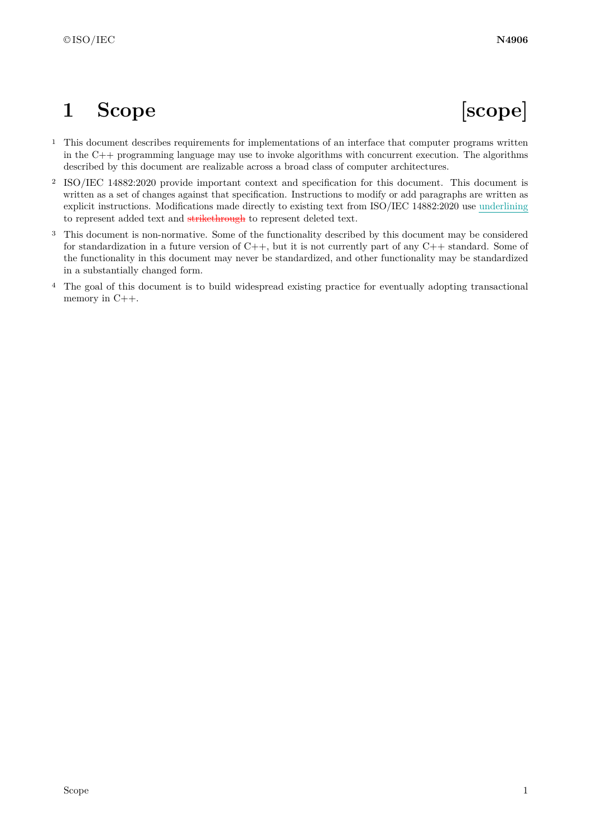# <span id="page-3-0"></span>**1 Scope [scope]**

- <sup>1</sup> This document describes requirements for implementations of an interface that computer programs written in the C++ programming language may use to invoke algorithms with concurrent execution. The algorithms described by this document are realizable across a broad class of computer architectures.
- <sup>2</sup> ISO/IEC 14882:2020 provide important context and specification for this document. This document is written as a set of changes against that specification. Instructions to modify or add paragraphs are written as explicit instructions. Modifications made directly to existing text from ISO/IEC 14882:2020 use underlining to represent added text and strikethrough to represent deleted text.
- <sup>3</sup> This document is non-normative. Some of the functionality described by this document may be considered for standardization in a future version of  $C_{++}$ , but it is not currently part of any  $C_{++}$  standard. Some of the functionality in this document may never be standardized, and other functionality may be standardized in a substantially changed form.
- <sup>4</sup> The goal of this document is to build widespread existing practice for eventually adopting transactional memory in C++.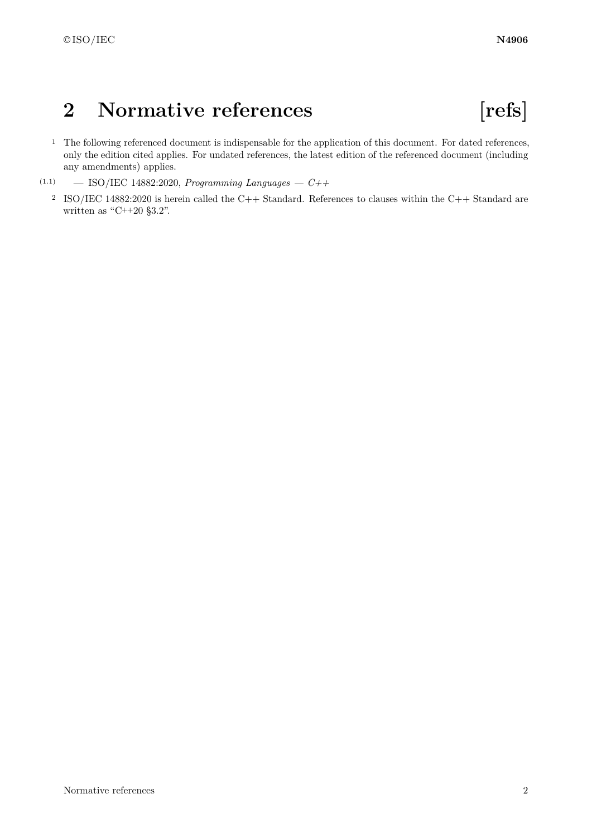## <span id="page-4-0"></span>**2 Normative references [refs]**

<sup>1</sup> The following referenced document is indispensable for the application of this document. For dated references, only the edition cited applies. For undated references, the latest edition of the referenced document (including any amendments) applies.

(1.1) — ISO/IEC 14882:2020, *Programming Languages — C++*

<sup>2</sup> ISO/IEC 14882:2020 is herein called the C++ Standard. References to clauses within the C++ Standard are written as "C++20  $\S 3.2$ ".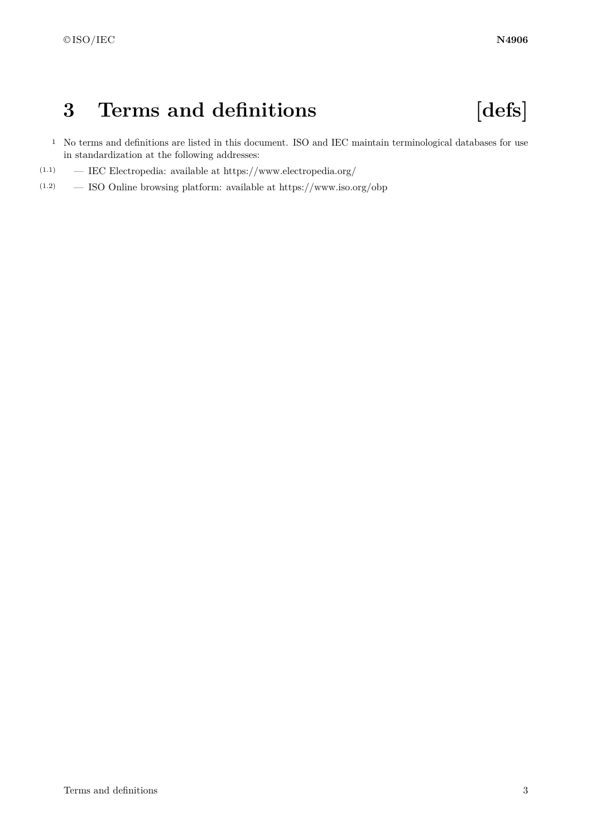## <span id="page-5-0"></span>**3 Terms and definitions [defs]**

- <sup>1</sup> No terms and definitions are listed in this document. ISO and IEC maintain terminological databases for use in standardization at the following addresses:
- (1.1) IEC Electropedia: available at https://www.electropedia.org/
- (1.2) ISO Online browsing platform: available at https://www.iso.org/obp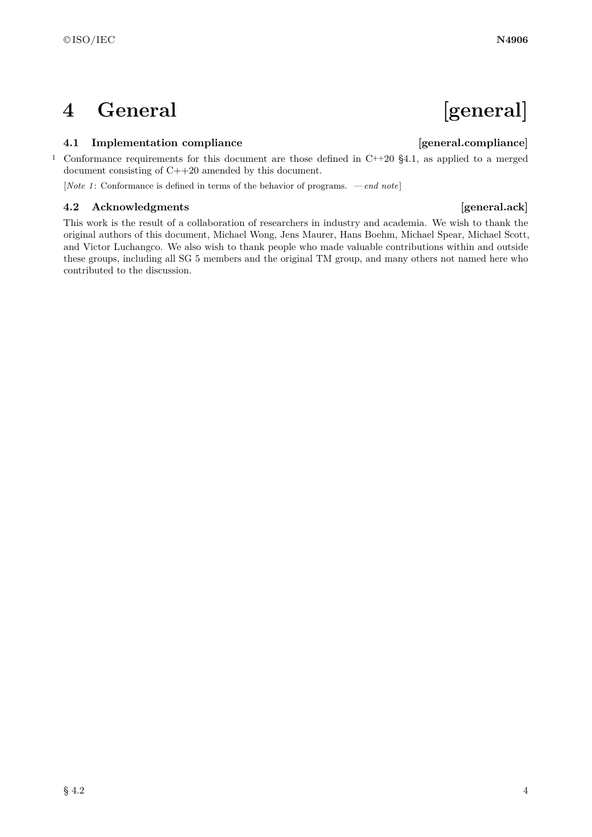# <span id="page-6-0"></span>**4 General [general]**

### <span id="page-6-1"></span>**4.1 Implementation compliance [general.compliance]**

<sup>1</sup> Conformance requirements for this document are those defined in C++20 §4.1, as applied to a merged document consisting of C++20 amended by this document.

[*Note 1* : Conformance is defined in terms of the behavior of programs. *— end note*]

#### <span id="page-6-2"></span>**4.2 Acknowledgments [general.ack]**

This work is the result of a collaboration of researchers in industry and academia. We wish to thank the original authors of this document, Michael Wong, Jens Maurer, Hans Boehm, Michael Spear, Michael Scott, and Victor Luchangco. We also wish to thank people who made valuable contributions within and outside these groups, including all SG 5 members and the original TM group, and many others not named here who contributed to the discussion.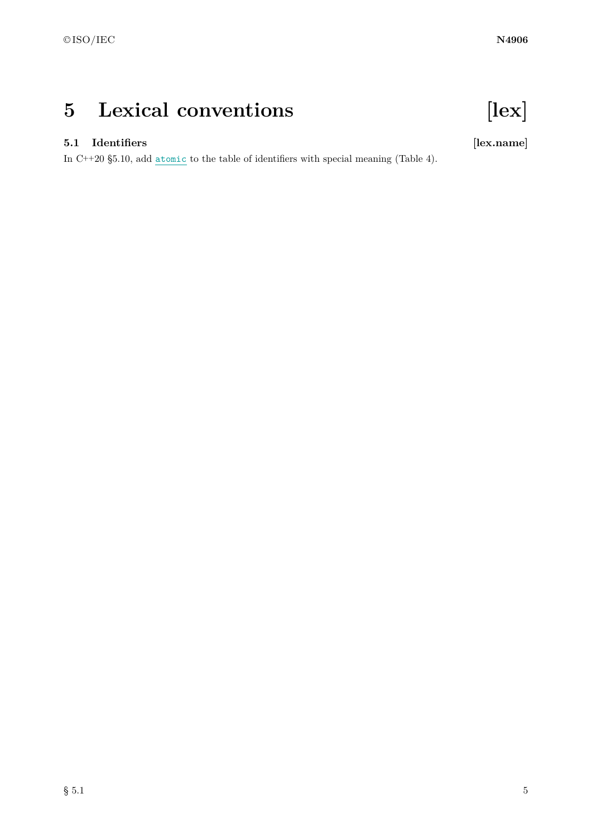# <span id="page-7-0"></span>**5 Lexical conventions [lex]**

### <span id="page-7-1"></span>**5.1 Identifiers** [lex.name]

In C++20 §5.10, add atomic to the table of identifiers with special meaning (Table 4).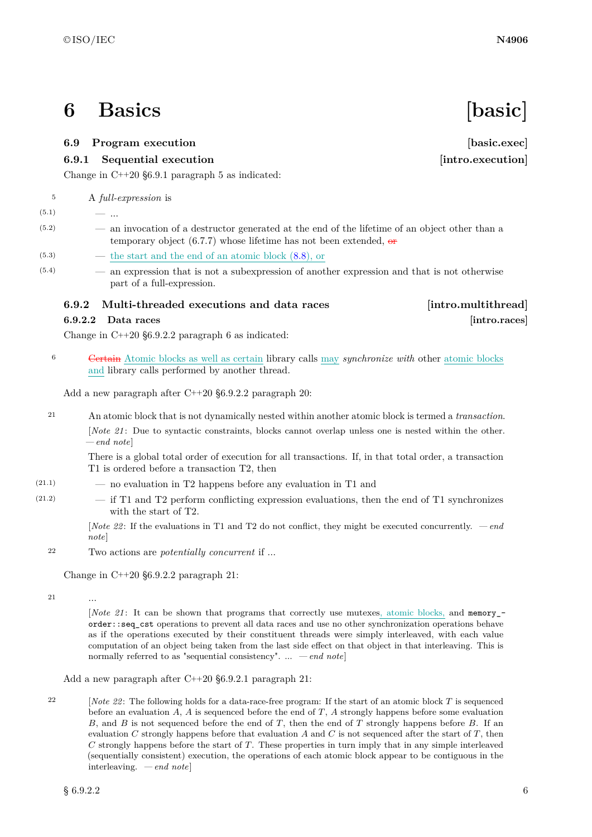## <span id="page-8-1"></span>**6.9 Program execution** *basic.exec] basic.exec]*

**6.9.1 Sequential execution [intro.execution]**

Change in  $C++20$  §6.9.1 paragraph 5 as indicated:

| A <i>full-expression</i> is |  |
|-----------------------------|--|
|-----------------------------|--|

- $(5.1)$  ...
- (5.2) an invocation of a destructor generated at the end of the lifetime of an object other than a temporary object (6.7.7) whose lifetime has not been extended, or
- (5.3) the start and the end of an atomic block [\(8.8\)](#page-10-2), or
- (5.4) an expression that is not a subexpression of another expression and that is not otherwise part of a full-expression.

### **6.9.2 Multi-threaded executions and data races [intro.multithread]**

#### **6.9.2.2 Data races [intro.races]**

Change in  $C_{+20}$  \$6.9.2.2 paragraph 6 as indicated:

<sup>6</sup> Certain Atomic blocks as well as certain library calls may *synchronize with* other atomic blocks and library calls performed by another thread.

Add a new paragraph after C++20 §6.9.2.2 paragraph 20:

<sup>21</sup> An atomic block that is not dynamically nested within another atomic block is termed a *transaction*. [*Note 21*: Due to syntactic constraints, blocks cannot overlap unless one is nested within the other. *— end note*]

There is a global total order of execution for all transactions. If, in that total order, a transaction T1 is ordered before a transaction T2, then

- (21.1) no evaluation in T2 happens before any evaluation in T1 and
- (21.2) if T1 and T2 perform conflicting expression evaluations, then the end of T1 synchronizes with the start of T2.

[*Note 22* : If the evaluations in T1 and T2 do not conflict, they might be executed concurrently. *— end note*]

<sup>22</sup> Two actions are *potentially concurrent* if ...

Change in C++20 §6.9.2.2 paragraph 21:

<sup>21</sup> ...

[*Note 21*: It can be shown that programs that correctly use mutexes, atomic blocks, and memory\_order::seq\_cst operations to prevent all data races and use no other synchronization operations behave as if the operations executed by their constituent threads were simply interleaved, with each value computation of an object being taken from the last side effect on that object in that interleaving. This is normally referred to as "sequential consistency". ... *— end note*]

Add a new paragraph after C++20 §6.9.2.1 paragraph 21:

22 [*Note 22* : The following holds for a data-race-free program: If the start of an atomic block *T* is sequenced before an evaluation *A*, *A* is sequenced before the end of *T*, *A* strongly happens before some evaluation *B*, and *B* is not sequenced before the end of *T*, then the end of *T* strongly happens before *B*. If an evaluation  $C$  strongly happens before that evaluation  $A$  and  $C$  is not sequenced after the start of  $T$ , then *C* strongly happens before the start of *T*. These properties in turn imply that in any simple interleaved (sequentially consistent) execution, the operations of each atomic block appear to be contiguous in the interleaving. *— end note*]

# <span id="page-8-0"></span>**6 Basics [basic]**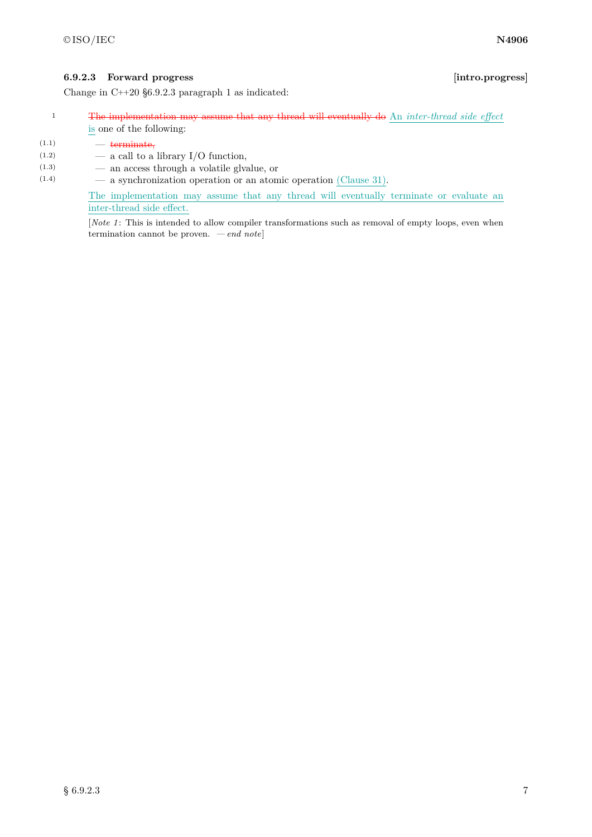#### <span id="page-9-0"></span>**6.9.2.3 Forward progress [intro.progress]**

Change in C++20 §6.9.2.3 paragraph 1 as indicated:

- <sup>1</sup> The implementation may assume that any thread will eventually do An *inter-thread side effect* is one of the following:
- $(1.1)$   $\qquad \qquad \text{terminate},$
- (1.2)  $-$  a call to a library I/O function,<br>(1.3)  $-$  an access through a volatile glys
- (1.3)  $-$  an access through a volatile glvalue, or (1.4)  $-$  a synchronization operation or an atom
	- $-$  a synchronization operation or an atomic operation (Clause 31).

The implementation may assume that any thread will eventually terminate or evaluate an inter-thread side effect.

[*Note 1*: This is intended to allow compiler transformations such as removal of empty loops, even when termination cannot be proven. *— end note*]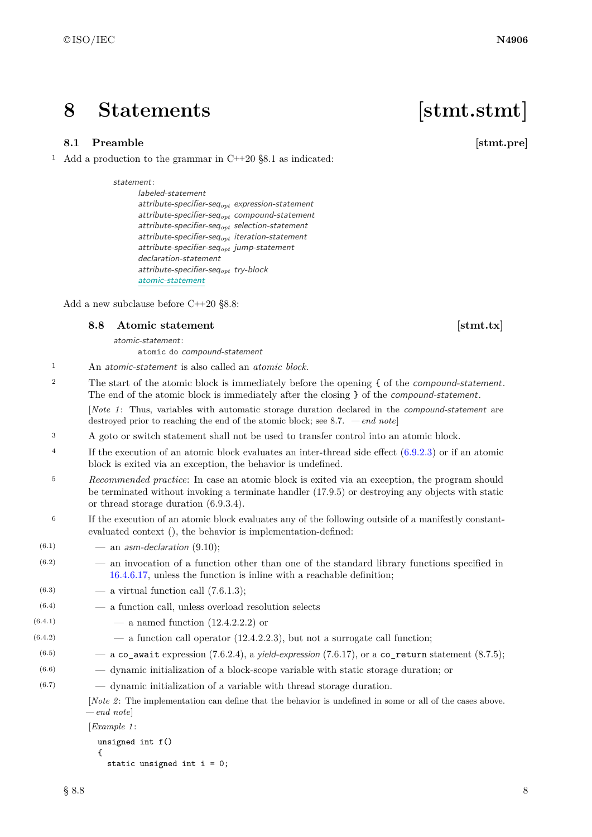## <span id="page-10-0"></span>**8 Statements [stmt.stmt]**

### <span id="page-10-1"></span>**8.1 Preamble** [stmt.pre]

<sup>1</sup> Add a production to the grammar in C++20 §8.1 as indicated:

statement:

labeled-statement attribute-specifier-seq*opt* expression-statement attribute-specifier-seq*opt* compound-statement attribute-specifier-seq*opt* selection-statement attribute-specifier-seq*opt* iteration-statement attribute-specifier-seq*opt* jump-statement declaration-statement attribute-specifier-seq*opt* try-block atomic-statement

<span id="page-10-2"></span>Add a new subclause before C++20 §8.8:

### **8.8 Atomic statement** [stmt.tx]

atomic-statement: atomic do compound-statement

- <sup>1</sup> An atomic-statement is also called an *atomic block*.
- <sup>2</sup> The start of the atomic block is immediately before the opening { of the *compound-statement*. The end of the atomic block is immediately after the closing } of the compound-statement.

[*Note 1* : Thus, variables with automatic storage duration declared in the compound-statement are destroyed prior to reaching the end of the atomic block; see 8.7. *— end note*]

- <sup>3</sup> A goto or switch statement shall not be used to transfer control into an atomic block.
- <sup>4</sup> If the execution of an atomic block evaluates an inter-thread side effect [\(6.9.2.3\)](#page-9-0) or if an atomic block is exited via an exception, the behavior is undefined.
- <sup>5</sup> *Recommended practice*: In case an atomic block is exited via an exception, the program should be terminated without invoking a terminate handler (17.9.5) or destroying any objects with static or thread storage duration (6.9.3.4).
- <sup>6</sup> If the execution of an atomic block evaluates any of the following outside of a manifestly constantevaluated context (), the behavior is implementation-defined:
- $(6.1)$  an asm-declaration  $(9.10)$ ;
- $(6.2)$  an invocation of a function other than one of the standard library functions specified in [16.4.6.17,](#page-13-2) unless the function is inline with a reachable definition;
- $(6.3)$  a virtual function call  $(7.6.1.3);$
- $(6.4)$   $-$  a function call, unless overload resolution selects
- $(6.4.1)$  a named function  $(12.4.2.2.2)$  or
- $(6.4.2)$   $-$  a function call operator  $(12.4.2.2.3)$ , but not a surrogate call function;
- $(6.5)$  a co\_await expression  $(7.6.2.4)$ , a yield-expression  $(7.6.17)$ , or a co\_return statement  $(8.7.5)$ ;
- $(6.6)$  dynamic initialization of a block-scope variable with static storage duration; or
- (6.7) dynamic initialization of a variable with thread storage duration.

[*Note 2* : The implementation can define that the behavior is undefined in some or all of the cases above. *— end note*]

```
[Example 1 :
  unsigned int f()
  {
    static unsigned int i = 0;
```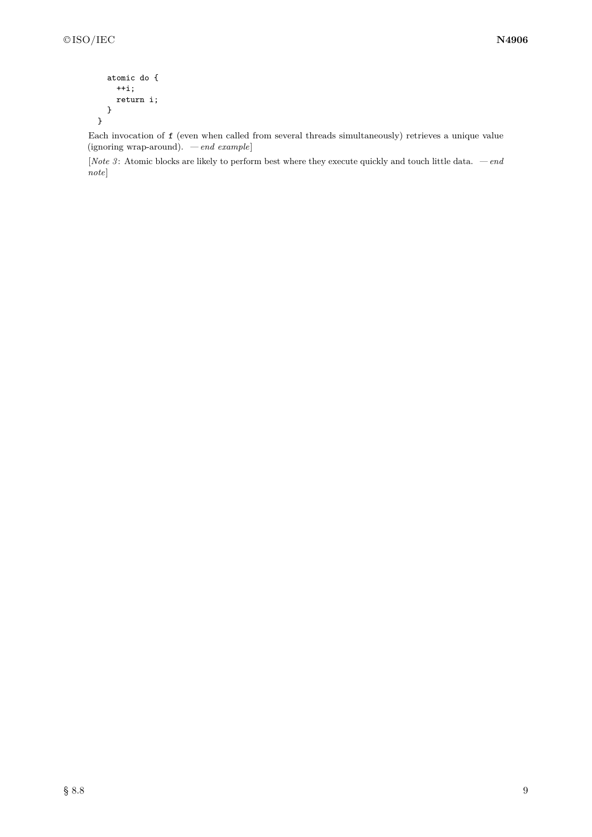```
atomic do {
    ++i;
    return i;
  }
}
```
Each invocation of f (even when called from several threads simultaneously) retrieves a unique value (ignoring wrap-around). *— end example*]

[*Note 3* : Atomic blocks are likely to perform best where they execute quickly and touch little data. *— end note*]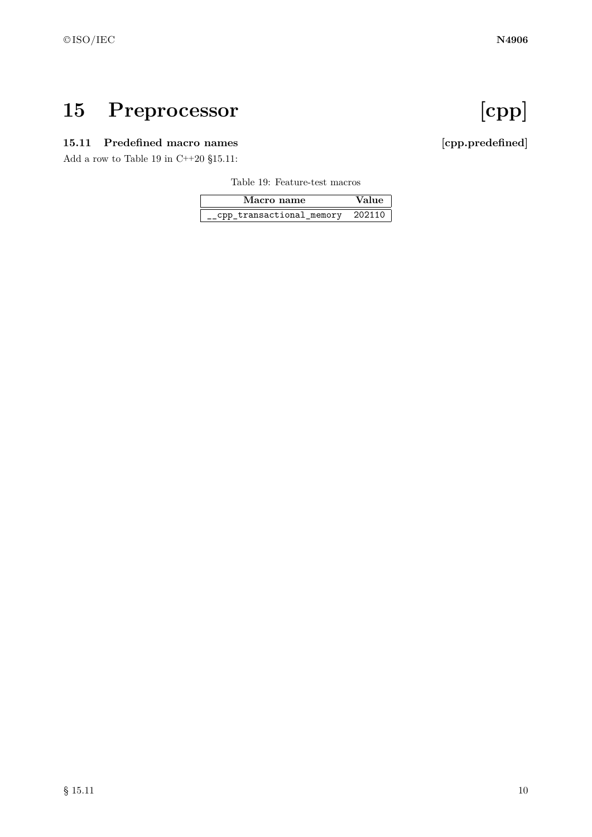# <span id="page-12-0"></span>**15 Preprocessor [cpp]**

## <span id="page-12-1"></span>**15.11 Predefined macro names [cpp.predefined]**

Add a row to Table 19 in C++20  $$15.11$ :

Table 19: Feature-test macros

| Macro name                      | Value |
|---------------------------------|-------|
| cpp transactional memory 202110 |       |